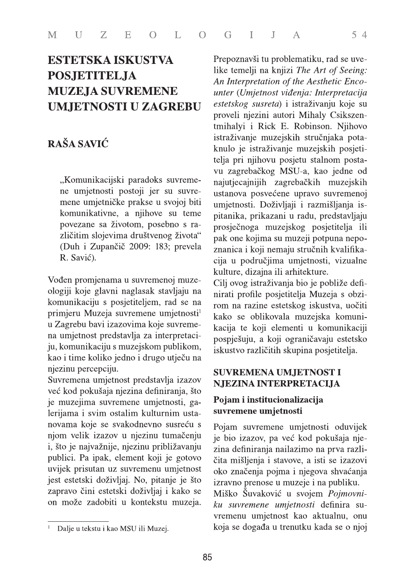# **ESTETSKA ISKUSTVA POSJETITELJA MUZEJA SUVREMENE UMJETNOSTI U ZAGREBU**

# RAŠA SAVIĆ

"Komunikacijski paradoks suvremene umjetnosti postoji jer su suvremene umjetničke prakse u svojoj biti komunikativne, a njihove su teme povezane sa životom, posebno s različitim slojevima društvenog života" (Duh i Zupančič 2009: 183; prevela R. Savić).

Vođen promjenama u suvremenoj muzeologiji koje glavni naglasak stavljaju na komunikaciju s posjetiteljem, rad se na primjeru Muzeja suvremene umjetnosti<sup>1</sup> u Zagrebu bavi izazovima koje suvremena umjetnost predstavlja za interpretaciju, komunikaciju s muzejskom publikom, kao i time koliko jedno i drugo utječu na njezinu percepciju.

Suvremena umjetnost predstavlja izazov već kod pokušaja njezina definiranja, što je muzejima suvremene umjetnosti, galerijama i svim ostalim kulturnim ustanovama koje se svakodnevno susreću s njom velik izazov u njezinu tumačenju i, što je najvažnije, njezinu približavanju publici. Pa ipak, element koji je gotovo uvijek prisutan uz suvremenu umjetnost jest estetski doživljaj. No, pitanje je što zapravo čini estetski doživljaj i kako se on može zadobiti u kontekstu muzeja.

Prepoznavši tu problematiku, rad se uvelike temelji na knjizi The Art of Seeing: An Interpretation of the Aesthetic Encounter (Umjetnost viđenja: Interpretacija estetskog susreta) i istraživanju koje su proveli njezini autori Mihaly Csikszentmihalyi i Rick E. Robinson. Njihovo istraživanje muzejskih stručnjaka potaknulo je istraživanje muzejskih posjetitelja pri njihovu posjetu stalnom postavu zagrebačkog MSU-a, kao jedne od najutjecajnijih zagrebačkih muzejskih ustanova posvećene upravo suvremenoj umjetnosti. Doživljaji i razmišljanja ispitanika, prikazani u radu, predstavljaju prosječnoga muzejskog posjetitelja ili pak one kojima su muzeji potpuna nepoznanica i koji nemaju stručnih kvalifikacija u područjima umjetnosti, vizualne kulture, dizajna ili arhitekture.

 $54$ 

Cilj ovog istraživanja bio je pobliže definirati profile posjetitelja Muzeja s obzirom na razine estetskog iskustva, uočiti kako se oblikovala muzejska komunikacija te koji elementi u komunikaciji pospješuju, a koji ograničavaju estetsko iskustvo različitih skupina posjetitelja.

#### **SUVREMENA UMJETNOST I NJEZINA INTERPRETACIJA**

#### Pojam i institucionalizacija suvremene umjetnosti

Pojam suvremene umjetnosti oduvijek je bio izazov, pa već kod pokušaja njezina definiranja nailazimo na prva različita mišljenja i stavove, a isti se izazovi oko značenja pojma i njegova shvaćanja izravno prenose u muzeje i na publiku. Miško Šuvaković u svojem Pojmovniku suvremene umjetnosti definira suvremenu umjetnost kao aktualnu, onu

koja se događa u trenutku kada se o njoj

 $\,1$ Dalje u tekstu i kao MSU ili Muzej.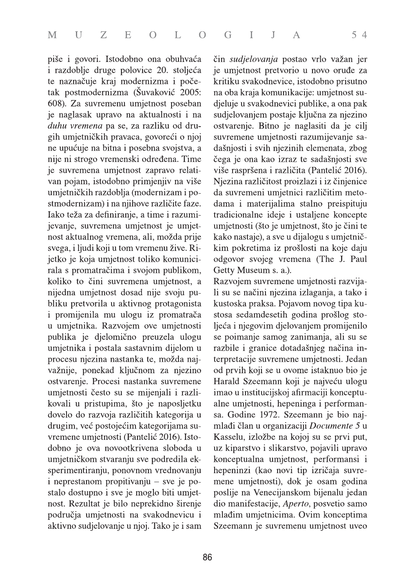piše i govori. Istodobno ona obuhvaća i razdoblje druge polovice 20. stoljeća te naznačuje kraj modernizma i početak postmodernizma (Šuvaković 2005: 608). Za suvremenu umjetnost poseban je naglasak upravo na aktualnosti i na duhu vremena pa se, za razliku od drugih umjetničkih pravaca, govoreći o njoj ne upućuje na bitna i posebna svojstva, a nije ni strogo vremenski određena. Time je suvremena umjetnost zapravo relativan pojam, istodobno primjenjiv na više umjetničkih razdoblja (modernizam i postmodernizam) i na njihove različite faze. Iako teža za definiranje, a time i razumijevanje, suvremena umjetnost je umjetnost aktualnog vremena, ali, možda prije svega, i ljudi koji u tom vremenu žive. Rijetko je koja umjetnost toliko komunicirala s promatračima i svojom publikom, koliko to čini suvremena umjetnost, a nijedna umjetnost dosad nije svoju publiku pretvorila u aktivnog protagonista i promijenila mu ulogu iz promatrača u umjetnika. Razvojem ove umjetnosti publika je djelomično preuzela ulogu umjetnika i postala sastavnim dijelom u procesu njezina nastanka te, možda najvažnije, ponekad ključnom za njezino ostvarenje. Procesi nastanka suvremene umjetnosti često su se mijenjali i razlikovali u pristupima, što je naposljetku dovelo do razvoja različitih kategorija u drugim, već postojećim kategorijama suvremene umjetnosti (Pantelić 2016). Istodobno je ova novootkrivena sloboda u umjetničkom stvaranju sve podredila eksperimentiranju, ponovnom vrednovanju i neprestanom propitivanju – sve je postalo dostupno i sve je moglo biti umjetnost. Rezultat je bilo neprekidno širenje područja umjetnosti na svakodnevicu i aktivno sudjelovanje u njoj. Tako je i sam

čin sudjelovanja postao vrlo važan jer je umjetnost pretvorio u novo oruđe za kritiku svakodnevice, istodobno prisutno na oba kraja komunikacije: umjetnost sudjeluje u svakodnevici publike, a ona pak sudjelovanjem postaje ključna za njezino ostvarenje. Bitno je naglasiti da je cilj suvremene umjetnosti razumijevanje sadašnjosti i svih njezinih elemenata, zbog čega je ona kao izraz te sadašnjosti sve više raspršena i različita (Pantelić 2016). Njezina različitost proizlazi i iz činjenice da suvremeni umjetnici različitim metodama i materijalima stalno preispituju tradicionalne ideje i ustaljene koncepte umjetnosti (što je umjetnost, što je čini te kako nastaje), a sve u dijalogu s umjetničkim pokretima iz prošlosti na koje daju odgovor svojeg vremena (The J. Paul Getty Museum s. a.).

Razvojem suvremene umjetnosti razvijali su se načini njezina izlaganja, a tako i kustoska praksa. Pojavom novog tipa kustosa sedamdesetih godina prošlog stoljeća i njegovim djelovanjem promijenilo se poimanje samog zanimanja, ali su se razbile i granice dotadašnjeg načina interpretacije suvremene umjetnosti. Jedan od prvih koji se u ovome istaknuo bio je Harald Szeemann koji je najveću ulogu imao u institucijskoj afirmaciji konceptualne umjetnosti, hepeninga i performansa. Godine 1972. Szeemann je bio najmlađi član u organizaciji Documente 5 u Kasselu, izložbe na kojoj su se prvi put, uz kiparstvo i slikarstvo, pojavili upravo konceptualna umjetnost, performansi i hepeninzi (kao novi tip izričaja suvremene umjetnosti), dok je osam godina poslije na Venecijanskom bijenalu jedan dio manifestacije, Aperto, posvetio samo mlađim umjetnicima. Ovim konceptima Szeemann je suvremenu umjetnost uveo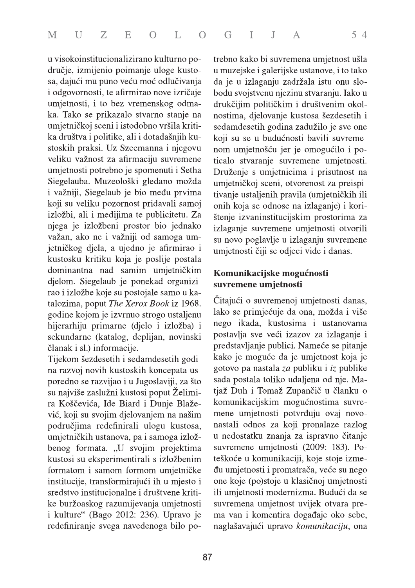u visokoinstitucionalizirano kulturno područje, izmijenio poimanje uloge kustosa, dajući mu puno veću moć odlučivanja i odgovornosti, te afirmirao nove izričaje umjetnosti, i to bez vremenskog odmaka. Tako se prikazalo stvarno stanje na umjetničkoj sceni i istodobno vršila kritika društva i politike, ali i dotadašnjih kustoskih praksi. Uz Szeemanna i njegovu veliku važnost za afirmaciju suvremene umjetnosti potrebno je spomenuti i Setha Siegelauba. Muzeološki gledano možda i važniji, Siegelaub je bio među prvima koji su veliku pozornost pridavali samoj izložbi, ali i medijima te publicitetu. Za njega je izložbeni prostor bio jednako važan, ako ne i važniji od samoga umjetničkog djela, a ujedno je afirmirao i kustosku kritiku koja je poslije postala dominantna nad samim umjetničkim djelom. Siegelaub je ponekad organizirao i izložbe koje su postojale samo u katalozima, poput The Xerox Book iz 1968. godine kojom je izvrnuo strogo ustaljenu hijerarhiju primarne (djelo i izložba) i sekundarne (katalog, deplijan, novinski članak i sl.) informacije.

Tijekom šezdesetih i sedamdesetih godina razvoj novih kustoskih koncepata usporedno se razvijao i u Jugoslaviji, za što su najviše zaslužni kustosi poput Želimira Koščevića, Ide Biard i Dunje Blažević, koji su svojim djelovanjem na našim područjima redefinirali ulogu kustosa, umjetničkih ustanova, pa i samoga izložbenog formata. "U svojim projektima kustosi su eksperimentirali s izložbenim formatom i samom formom umjetničke institucije, transformirajući ih u mjesto i sredstvo institucionalne i društvene kritike buržoaskog razumijevanja umjetnosti i kulture" (Bago 2012: 236). Upravo je redefiniranje svega navedenoga bilo potrebno kako bi suvremena umjetnost ušla u muzejske i galerijske ustanove, i to tako da je u izlaganju zadržala istu onu slobodu svojstvenu njezinu stvaranju. Iako u drukčijim političkim i društvenim okolnostima, djelovanje kustosa šezdesetih i sedamdesetih godina zadužilo je sve one koji su se u budućnosti bavili suvremenom umjetnošću jer je omogućilo i poticalo stvaranje suvremene umjetnosti. Druženje s umjetnicima i prisutnost na umjetničkoj sceni, otvorenost za preispitivanje ustaljenih pravila (umjetničkih ili onih koja se odnose na izlaganje) i korištenje izvaninstitucijskim prostorima za izlaganje suvremene umjetnosti otvorili su novo poglavlje u izlaganju suvremene umjetnosti čiji se odjeci vide i danas.

### Komunikacijske mogućnosti suvremene umjetnosti

Čitajući o suvremenoj umjetnosti danas, lako se primjećuje da ona, možda i više nego ikada, kustosima i ustanovama postavlja sve veći izazov za izlaganje i predstavljanje publici. Nameće se pitanje kako je moguće da je umjetnost koja je gotovo pa nastala za publiku i iz publike sada postala toliko udaljena od nje. Matjaž Duh i Tomaž Zupančič u članku o komunikacijskim mogućnostima suvremene umjetnosti potvrđuju ovaj novonastali odnos za koji pronalaze razlog u nedostatku znanja za ispravno čitanje suvremene umjetnosti (2009: 183). Poteškoće u komunikaciji, koje stoje između umjetnosti i promatrača, veće su nego one koje (po)stoje u klasičnoj umjetnosti ili umjetnosti modernizma. Budući da se suvremena umjetnost uvijek otvara prema van i komentira događaje oko sebe, naglašavajući upravo komunikaciju, ona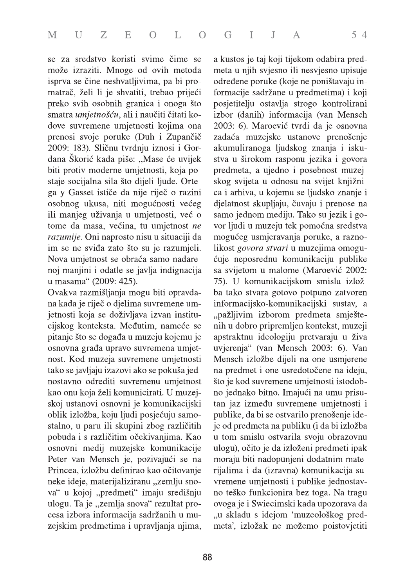se za sredstvo koristi svime čime se može izraziti. Mnoge od ovih metoda isprva se čine neshvatljivima, pa bi promatrač, želi li je shvatiti, trebao prijeći preko svih osobnih granica i onoga što smatra umjetnošću, ali i naučiti čitati kodove suvremene umjetnosti kojima ona prenosi svoje poruke (Duh i Zupančič 2009: 183). Sličnu tvrdnju iznosi i Gordana Škorić kada piše: "Mase će uvijek biti protiv moderne umjetnosti, koja postaje socijalna sila što dijeli ljude. Ortega y Gasset ističe da nije riječ o razini osobnog ukusa, niti mogućnosti većeg ili manjeg uživanja u umjetnosti, već o tome da masa, većina, tu umjetnost ne razumije. Oni naprosto nisu u situaciji da im se ne sviđa zato što su je razumjeli. Nova umjetnost se obraća samo nadarenoj manjini i odatle se javlja indignacija u masama" (2009: 425).

Ovakva razmišljanja mogu biti opravdana kada je riječ o djelima suvremene umjetnosti koja se doživljava izvan institucijskog konteksta. Međutim, nameće se pitanje što se događa u muzeju kojemu je osnovna građa upravo suvremena umjetnost. Kod muzeja suvremene umjetnosti tako se javljaju izazovi ako se pokuša jednostavno odrediti suvremenu umjetnost kao onu koja želi komunicirati. U muzejskoj ustanovi osnovni je komunikacijski oblik izložba, koju ljudi posjećuju samostalno, u paru ili skupini zbog različitih pobuda i s različitim očekivanjima. Kao osnovni medij muzejske komunikacije Peter van Mensch je, pozivajući se na Princea, izložbu definirao kao očitovanje neke ideje, materijaliziranu "zemlju snova" u kojoj "predmeti" imaju središnju ulogu. Ta je "zemlja snova" rezultat procesa izbora informacija sadržanih u muzejskim predmetima i upravljanja njima,

a kustos je taj koji tijekom odabira predmeta u njih svjesno ili nesvjesno upisuje određene poruke (koje ne poništavaju informacije sadržane u predmetima) i koji posjetitelju ostavlja strogo kontrolirani izbor (danih) informacija (van Mensch 2003: 6). Maroević tvrdi da je osnovna zadaća muzejske ustanove prenošenje akumuliranoga ljudskog znanja i iskustva u širokom rasponu jezika i govora predmeta, a ujedno i posebnost muzejskog svijeta u odnosu na svijet knjižnica i arhiva, u kojemu se ljudsko znanje i djelatnost skupljaju, čuvaju i prenose na samo jednom mediju. Tako su jezik i govor ljudi u muzeju tek pomoćna sredstva mogućeg usmjeravanja poruke, a raznolikost *govora stvari* u muzejima omogućuje neposrednu komunikaciju publike sa svijetom u malome (Maroević 2002: 75). U komunikacijskom smislu izložba tako stvara gotovo potpuno zatvoren informacijsko-komunikacijski sustav, a "pažljivim izborom predmeta smještenih u dobro pripremljen kontekst, muzeji apstraktnu ideologiju pretvaraju u živa uvjerenja" (van Mensch 2003: 6). Van Mensch izložbe dijeli na one usmjerene na predmet i one usredotočene na ideju, što je kod suvremene umjetnosti istodobno jednako bitno. Imajući na umu prisutan jaz između suvremene umjetnosti i publike, da bi se ostvarilo prenošenje ideje od predmeta na publiku (i da bi izložba u tom smislu ostvarila svoju obrazovnu ulogu), očito je da izloženi predmeti ipak moraju biti nadopunjeni dodatnim materijalima i da (izravna) komunikacija suvremene umjetnosti i publike jednostavno teško funkcionira bez toga. Na tragu ovoga je i Swiecimski kada upozorava da "u skladu s idejom 'muzeološkog predmeta', izložak ne možemo poistovjetiti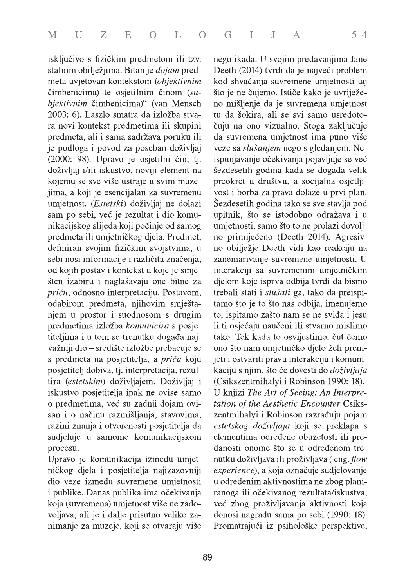isključivo s fizičkim predmetom ili tzv. stalnim obilježjima. Bitan je *dojam* predmeta uvjetovan kontekstom (objektivnim čimbenicima) te osjetilnim činom (subjektivnim čimbenicima)" (van Mensch 2003: 6). Laszlo smatra da izložba stvara novi kontekst predmetima ili skupini predmeta, ali i sama sadržava poruku ili je podloga i povod za poseban doživljaj (2000: 98). Upravo je osjetilni čin, tj. doživljaj i/ili iskustvo, noviji element na kojemu se sve više ustraje u svim muzejima, a koji je esencijalan za suvremenu umjetnost. (Estetski) doživljaj ne dolazi sam po sebi, već je rezultat i dio komunikacijskog slijeda koji počinje od samog predmeta ili umjetničkog djela. Predmet, definiran svojim fizičkim svojstvima, u sebi nosi informacije i različita značenja, od kojih postav i kontekst u koje je smješten izabiru i naglašavaju one bitne za priču, odnosno interpretaciju. Postavom, odabirom predmeta, njihovim smještanjem u prostor i suodnosom s drugim predmetima izložba komunicira s posjetiteljima i u tom se trenutku događa najvažniji dio – središte izložbe prebacuje se s predmeta na posjetitelja, a priča koju posjetitelj dobiva, tj. interpretacija, rezultira (estetskim) doživljajem. Doživljaj i iskustvo posjetitelja ipak ne ovise samo o predmetima, već su zadnji dojam ovisan i o načinu razmišljanja, stavovima, razini znanja i otvorenosti posjetitelja da sudjeluje u samome komunikacijskom procesu.

Upravo je komunikacija između umjetničkog djela i posjetitelja najizazovniji dio veze između suvremene umjetnosti i publike. Danas publika ima očekivanja koja (suvremena) umjetnost više ne zadovoljava, ali je i dalje prisutno veliko zanimanje za muzeje, koji se otvaraju više

nego ikada. U svojim predavanjima Jane Deeth (2014) tvrdi da je najveći problem kod shvaćanja suvremene umjetnosti taj što je ne čujemo. Ističe kako je uvriježeno mišljenje da je suvremena umjetnost tu da šokira, ali se svi samo usredotočuju na ono vizualno. Stoga zaključuje da suvremena umjetnost ima puno više veze sa slušanjem nego s gledanjem. Neispunjavanje očekivanja pojavljuje se već šezdesetih godina kada se događa velik preokret u društvu, a socijalna osjetljivost i borba za prava dolaze u prvi plan. Šezdesetih godina tako se sve stavlja pod upitnik, što se istodobno odražava i u umjetnosti, samo što to ne prolazi dovoljno primijećeno (Deeth 2014). Agresivno obilježje Deeth vidi kao reakciju na zanemarivanje suvremene umjetnosti. U interakciji sa suvremenim umjetničkim djelom koje isprva odbija tvrdi da bismo trebali stati i slušati ga, tako da preispitamo što je to što nas odbija, imenujemo to, ispitamo zašto nam se ne sviđa i jesu li ti osjećaju naučeni ili stvarno mislimo tako. Tek kada to osvijestimo, čut ćemo ono što nam umjetničko djelo želi prenijeti i ostvariti pravu interakciju i komunikaciju s njim, što će dovesti do *doživljaja* (Csikszentmihalyi i Robinson 1990: 18). U knjizi The Art of Seeing: An Interpretation of the Aesthetic Encounter Csikszentmihalyi i Robinson razrađuju pojam estetskog doživljaja koji se preklapa s elementima određene obuzetosti ili predanosti onome što se u određenom trenutku doživljava ili proživljava (eng. flow experience), a koja označuje sudjelovanje u određenim aktivnostima ne zbog planiranoga ili očekivanog rezultata/iskustva, već zbog proživljavanja aktivnosti koja donosi nagradu sama po sebi (1990: 18). Promatrajući iz psihološke perspektive,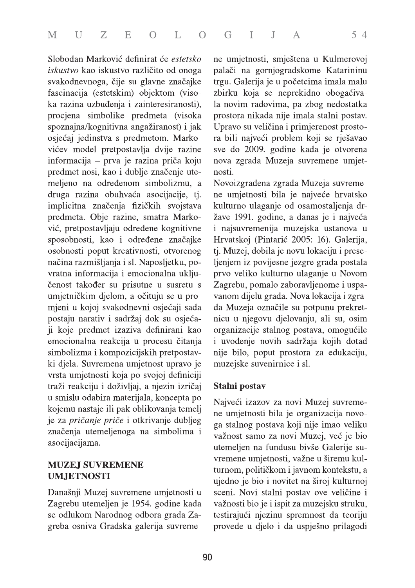Slobodan Marković definirat će estetsko *iskustvo* kao iskustvo različito od onoga svakodnevnoga, čije su glavne značajke fascinacija (estetskim) objektom (visoka razina uzbuđenja i zainteresiranosti), procjena simbolike predmeta (visoka spoznajna/kognitivna angažiranost) i jak osjećaj jedinstva s predmetom. Markovićev model pretpostavlja dvije razine informacija – prva je razina priča koju predmet nosi, kao i dublje značenje utemeljeno na određenom simbolizmu, a druga razina obuhvaća asocijacije, tj. implicitna značenja fizičkih svojstava predmeta. Obje razine, smatra Marković, pretpostavljaju određene kognitivne sposobnosti, kao i određene značajke osobnosti poput kreativnosti, otvorenog načina razmišljanja i sl. Naposljetku, povratna informacija i emocionalna uključenost također su prisutne u susretu s umjetničkim djelom, a očituju se u promjeni u kojoj svakodnevni osjećaji sada postaju narativ i sadržaj dok su osjećaji koje predmet izaziva definirani kao emocionalna reakcija u procesu čitanja simbolizma i kompozicijskih pretpostavki djela. Suvremena umjetnost upravo je vrsta umjetnosti koja po svojoj definiciji traži reakciju i doživljaj, a njezin izričaj u smislu odabira materijala, koncepta po kojemu nastaje ili pak oblikovanja temelj je za *pričanje priče* i otkrivanje dubljeg značenja utemeljenoga na simbolima i asocijacijama.

#### **MUZEJ SUVREMENE UMJETNOSTI**

Današnji Muzej suvremene umjetnosti u Zagrebu utemeljen je 1954. godine kada se odlukom Narodnog odbora grada Zagreba osniva Gradska galerija suvremene umjetnosti, smještena u Kulmerovoj palači na gornjogradskome Katarininu trgu. Galerija je u početcima imala malu zbirku koja se neprekidno obogaćivala novim radovima, pa zbog nedostatka prostora nikada nije imala stalni postav. Upravo su veličina i primjerenost prostora bili najveći problem koji se rješavao sve do 2009. godine kada je otvorena nova zgrada Muzeja suvremene umjetnosti.

Novoizgrađena zgrada Muzeja suvremene umjetnosti bila je najveće hrvatsko kulturno ulaganje od osamostaljenja države 1991. godine, a danas je i najveća i najsuvremenija muzejska ustanova u Hrvatskoj (Pintarić 2005: 16). Galerija, tj. Muzej, dobila je novu lokaciju i preseljenjem iz povijesne jezgre grada postala prvo veliko kulturno ulaganje u Novom Zagrebu, pomalo zaboravljenome i uspavanom dijelu grada. Nova lokacija i zgrada Muzeja označile su potpunu prekretnicu u njegovu djelovanju, ali su, osim organizacije stalnog postava, omogućile i uvođenje novih sadržaja kojih dotad nije bilo, poput prostora za edukaciju, muzejske suvenirnice i sl.

#### Stalni postav

Najveći izazov za novi Muzej suvremene umjetnosti bila je organizacija novoga stalnog postava koji nije imao veliku važnost samo za novi Muzej, već je bio utemeljen na fundusu bivše Galerije suvremene umjetnosti, važne u širemu kulturnom, političkom i javnom kontekstu, a ujedno je bio i novitet na široj kulturnoj sceni. Novi stalni postav ove veličine i važnosti bio je i ispit za muzejsku struku, testirajući njezinu spremnost da teoriju provede u djelo i da uspješno prilagodi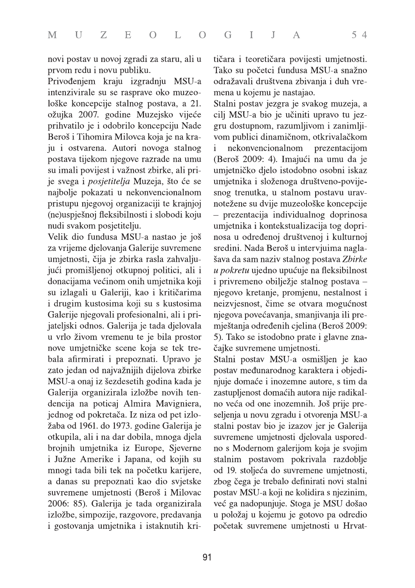novi postav u novoj zgradi za staru, ali u prvom redu i novu publiku.

Privođenjem kraju izgradnju MSU-a intenzivirale su se rasprave oko muzeološke koncepcije stalnog postava, a 21. ožujka 2007. godine Muzejsko vijeće prihvatilo je i odobrilo koncepciju Nade Beroš i Tihomira Milovca koja je na kraju i ostvarena. Autori novoga stalnog postava tijekom njegove razrade na umu su imali povijest i važnost zbirke, ali prije svega i *posjetitelja* Muzeja, što će se najbolje pokazati u nekonvencionalnom pristupu njegovoj organizaciji te krajnjoj (ne)uspješnoj fleksibilnosti i slobodi koju nudi svakom posjetitelju.

Velik dio fundusa MSU-a nastao je još za vrijeme djelovanja Galerije suvremene umjetnosti, čija je zbirka rasla zahvaljujući promišljenoj otkupnoj politici, ali i donacijama većinom onih umjetnika koji su izlagali u Galeriji, kao i kritičarima i drugim kustosima koji su s kustosima Galerije njegovali profesionalni, ali i prijateljski odnos. Galerija je tada djelovala u vrlo živom vremenu te je bila prostor nove umjetničke scene koja se tek trebala afirmirati i prepoznati. Upravo je zato jedan od najvažnijih dijelova zbirke MSU-a onaj iz šezdesetih godina kada je Galerija organizirala izložbe novih tendencija na poticaj Almira Mavigniera, jednog od pokretača. Iz niza od pet izložaba od 1961. do 1973. godine Galerija je otkupila, ali i na dar dobila, mnoga djela brojnih umjetnika iz Europe, Sjeverne i Južne Amerike i Japana, od kojih su mnogi tada bili tek na početku karijere, a danas su prepoznati kao dio svjetske suvremene umjetnosti (Beroš i Milovac 2006: 85). Galerija je tada organizirala izložbe, simpozije, razgovore, predavanja i gostovanja umjetnika i istaknutih kritičara i teoretičara povijesti umjetnosti. Tako su početci fundusa MSU-a snažno odražavali društvena zbivanja i duh vremena u kojemu je nastajao.

Stalni postav jezgra je svakog muzeja, a cilj MSU-a bio je učiniti upravo tu jezgru dostupnom, razumljivom i zanimljivom publici dinamičnom, otkrivalačkom nekonvencionalnom prezentacijom  $\mathbf{i}$ (Beroš 2009: 4). Imajući na umu da je umjetničko djelo istodobno osobni iskaz umjetnika i složenoga društveno-povijesnog trenutka, u stalnom postavu uravnotežene su dvije muzeološke koncepcije - prezentacija individualnog doprinosa umjetnika i kontekstualizacija tog doprinosa u određenoj društvenoj i kulturnoj sredini. Nada Beroš u intervjuima naglašava da sam naziv stalnog postava Zbirke u pokretu ujedno upućuje na fleksibilnost i privremeno obilježje stalnog postava – njegovo kretanje, promjenu, nestalnost i neizvjesnost, čime se otvara mogućnost njegova povećavanja, smanjivanja ili premještanja određenih cjelina (Beroš 2009: 5). Tako se istodobno prate i glavne značajke suvremene umjetnosti.

Stalni postav MSU-a osmišljen je kao postav međunarodnog karaktera i objedinjuje domaće i inozemne autore, s tim da zastupljenost domaćih autora nije radikalno veća od one inozemnih. Još prije preseljenja u novu zgradu i otvorenja MSU-a stalni postav bio je izazov jer je Galerija suvremene umjetnosti djelovala usporedno s Modernom galerijom koja je svojim stalnim postavom pokrivala razdoblje od 19. stoljeća do suvremene umjetnosti, zbog čega je trebalo definirati novi stalni postav MSU-a koji ne kolidira s njezinim, već ga nadopunjuje. Stoga je MSU došao u položaj u kojemu je gotovo pa odredio početak suvremene umjetnosti u Hrvat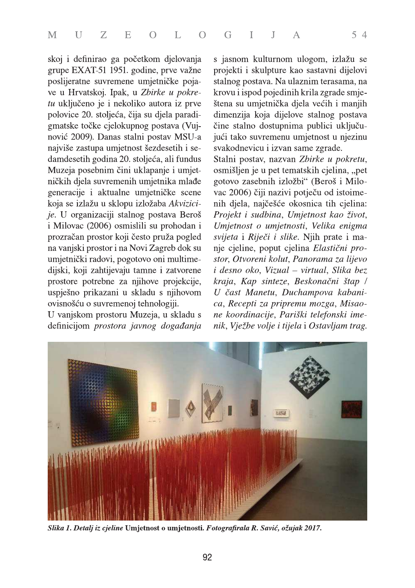skoj i definirao ga početkom djelovanja grupe EXAT-51 1951. godine, prve važne poslijeratne suvremene umjetničke pojave u Hrvatskoj. Ipak, u Zbirke u pokretu uključeno je i nekoliko autora iz prve polovice 20. stoljeća, čija su djela paradigmatske točke cjelokupnog postava (Vujnović 2009). Danas stalni postav MSU-a najviše zastupa umjetnost šezdesetih i sedamdesetih godina 20. stoljeća, ali fundus Muzeja posebnim čini uklapanje i umjetničkih djela suvremenih umjetnika mlađe generacije i aktualne umjetničke scene koja se izlažu u sklopu izložaba Akvizicije. U organizaciji stalnog postava Beroš i Milovac (2006) osmislili su prohodan i prozračan prostor koji često pruža pogled na vanjski prostor i na Novi Zagreb dok su umjetnički radovi, pogotovo oni multimedijski, koji zahtijevaju tamne i zatvorene prostore potrebne za njihove projekcije, uspješno prikazani u skladu s njihovom ovisnošću o suvremenoj tehnologiji.

U vanjskom prostoru Muzeja, u skladu s definicijom prostora javnog događanja

s jasnom kulturnom ulogom, izlažu se projekti i skulpture kao sastavni dijelovi stalnog postava. Na ulaznim terasama, na krovu i ispod pojedinih krila zgrade smještena su umjetnička djela većih i manjih dimenzija koja dijelove stalnog postava čine stalno dostupnima publici uključujući tako suvremenu umjetnost u njezinu svakodnevicu i izvan same zgrade.

Stalni postav, nazvan Zbirke u pokretu, osmišljen je u pet tematskih cjelina, "pet gotovo zasebnih izložbi" (Beroš i Milovac 2006) čiji nazivi potječu od istoimenih djela, najčešće okosnica tih cjelina: Projekt i sudbina, Umjetnost kao život, Umjetnost o umjetnosti, Velika enigma svijeta i Riječi i slike. Njih prate i manje cjeline, poput cjelina Elastični prostor, Otvoreni kolut, Panorama za lijevo i desno oko, Vizual - virtual, Slika bez kraja, Kap sinteze, Beskonačni štap / U čast Manetu, Duchampova kabanica, Recepti za pripremu mozga, Misaone koordinacije, Pariški telefonski imenik, Vježbe volje i tijela i Ostavljam trag.



Slika 1. Detalj iz cjeline Umjetnost o umjetnosti. Fotografirala R. Savić, ožujak 2017.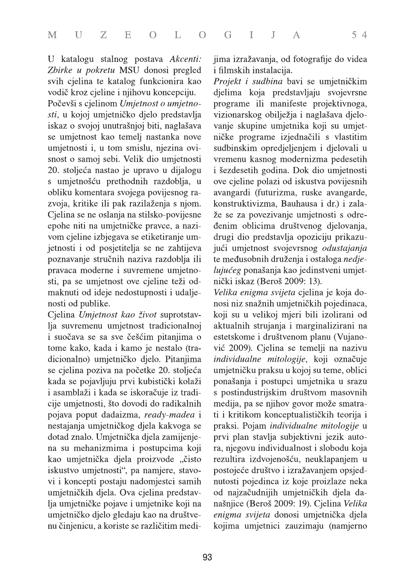U katalogu stalnog postava Akcenti: Zbirke u pokretu MSU donosi pregled svih cjelina te katalog funkcionira kao vodič kroz cjeline i njihovu koncepciju.

Počevši s cjelinom Umjetnost o umjetnosti, u kojoj umjetničko djelo predstavlja iskaz o svojoj unutrašnjoj biti, naglašava se umjetnost kao temelj nastanka nove umjetnosti i, u tom smislu, njezina ovisnost o samoj sebi. Velik dio umjetnosti 20. stoljeća nastao je upravo u dijalogu s umjetnošću prethodnih razdoblja, u obliku komentara svojega povijesnog razvoja, kritike ili pak razilaženja s njom. Cjelina se ne oslanja na stilsko-povijesne epohe niti na umjetničke pravce, a nazivom cjeline izbjegava se etiketiranje umjetnosti i od posjetitelja se ne zahtijeva poznavanje stručnih naziva razdoblja ili pravaca moderne i suvremene umjetnosti, pa se umjetnost ove cjeline teži odmaknuti od ideje nedostupnosti i udaljenosti od publike.

Cjelina Umjetnost kao život suprotstavlja suvremenu umjetnost tradicionalnoj i suočava se sa sve češćim pitanjima o tome kako, kada i kamo je nestalo (tradicionalno) umjetničko djelo. Pitanjima se cjelina poziva na početke 20. stoljeća kada se pojavljuju prvi kubistički kolaži i asamblaži i kada se iskoračuje iz tradicije umjetnosti, što dovodi do radikalnih pojava poput dadaizma, ready-madea i nestajanja umjetničkog djela kakvoga se dotad znalo. Umjetnička djela zamijenjena su mehanizmima i postupcima koji kao umjetnička djela proizvode "čisto iskustvo umjetnosti", pa namjere, stavovi i koncepti postaju nadomjestci samih umjetničkih djela. Ova cjelina predstavlja umjetničke pojave i umjetnike koji na umjetničko djelo gledaju kao na društvenu činjenicu, a koriste se različitim medijima izražavanja, od fotografije do videa i filmskih instalacija.

Projekt i sudbina bavi se umjetničkim djelima koja predstavljaju svojevrsne programe ili manifeste projektivnoga, vizionarskog obilježja i naglašava djelovanje skupine umjetnika koji su umjetničke programe izjednačili s vlastitim sudbinskim opredjeljenjem i djelovali u vremenu kasnog modernizma pedesetih i šezdesetih godina. Dok dio umjetnosti ove cjeline polazi od iskustva povijesnih avangardi (futurizma, ruske avangarde, konstruktivizma, Bauhausa i dr.) i zalaže se za povezivanje umjetnosti s određenim oblicima društvenog djelovanja, drugi dio predstavlja opoziciju prikazujući umjetnost svojevrsnog odustajanja te međusobnih druženja i ostaloga nedjelujućeg ponašanja kao jedinstveni umjetnički iskaz (Beroš 2009: 13).

Velika enigma svijeta cjelina je koja donosi niz snažnih umjetničkih pojedinaca, koji su u velikoj mjeri bili izolirani od aktualnih strujanja i marginalizirani na estetskome i društvenom planu (Vujanović 2009). Cjelina se temelji na nazivu individualne mitologije, koji označuje umjetničku praksu u kojoj su teme, oblici ponašanja i postupci umjetnika u srazu s postindustrijskim društvom masovnih medija, pa se njihov govor može smatrati i kritikom konceptualističkih teorija i praksi. Pojam individualne mitologije u prvi plan stavlja subjektivni jezik autora, njegovu individualnost i slobodu koja rezultira izdvojenošću, neuklapanjem u postojeće društvo i izražavanjem opsjednutosti pojedinca iz koje proizlaze neka od najzačudnijih umjetničkih djela današnjice (Beroš 2009: 19). Cjelina Velika enigma svijeta donosi umjetnička djela kojima umjetnici zauzimaju (namjerno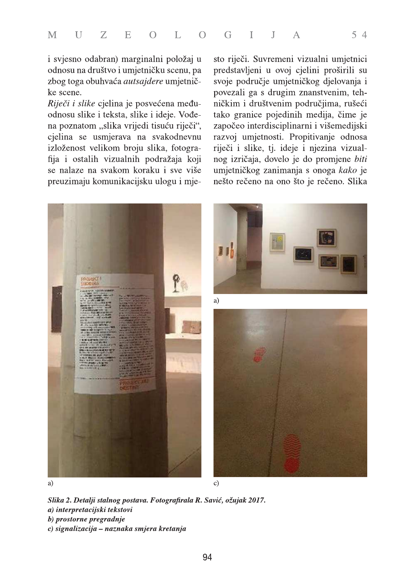i svjesno odabran) marginalni položaj u odnosu na društvo i umjetničku scenu, pa zbog toga obuhvaća *autsajdere* umjetničke scene.

Riječi i slike cjelina je posvećena međuodnosu slike i teksta, slike i ideje. Vođena poznatom "slika vrijedi tisuću riječi", cjelina se usmjerava na svakodnevnu izloženost velikom broju slika, fotografija i ostalih vizualnih podražaja koji se nalaze na svakom koraku i sve više preuzimaju komunikacijsku ulogu i mjesto riječi. Suvremeni vizualni umjetnici predstavljeni u ovoj cjelini proširili su svoje područje umjetničkog djelovanja i povezali ga s drugim znanstvenim, tehničkim i društvenim područjima, rušeći tako granice pojedinih medija, čime je započeo interdisciplinarni i višemedijski razvoj umjetnosti. Propitivanje odnosa riječi i slike, tj. ideje i njezina vizualnog izričaja, dovelo je do promjene biti umjetničkog zanimanja s onoga kako je nešto rečeno na ono što je rečeno. Slika



a)



Slika 2. Detalji stalnog postava. Fotografirala R. Savić, ožujak 2017. a) interpretacijski tekstovi b) prostorne pregradnje c) signalizacija – naznaka smjera kretanja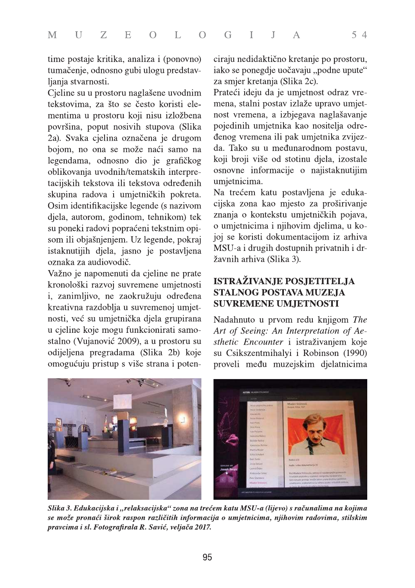time postaje kritika, analiza i (ponovno) tumačenje, odnosno gubi ulogu predstavljanja stvarnosti.

Cjeline su u prostoru naglašene uvodnim tekstovima, za što se često koristi elementima u prostoru koji nisu izložbena površina, poput nosivih stupova (Slika 2a). Svaka cjelina označena je drugom bojom, no ona se može naći samo na legendama, odnosno dio je grafičkog oblikovanja uvodnih/tematskih interpretacijskih tekstova ili tekstova određenih skupina radova i umjetničkih pokreta. Osim identifikacijske legende (s nazivom djela, autorom, godinom, tehnikom) tek su poneki radovi popraćeni tekstnim opisom ili objašnjenjem. Uz legende, pokraj istaknutijih djela, jasno je postavljena oznaka za audiovodič.

Važno je napomenuti da cjeline ne prate kronološki razvoj suvremene umjetnosti i, zanimljivo, ne zaokružuju određena kreativna razdoblja u suvremenoj umjetnosti, već su umjetnička djela grupirana u cjeline koje mogu funkcionirati samostalno (Vujanović 2009), a u prostoru su odijeljena pregradama (Slika 2b) koje omogućuju pristup s više strana i potenciraju nedidaktično kretanje po prostoru, iako se ponegdje uočavaju "podne upute" za smjer kretanja (Slika 2c).

Prateći ideju da je umjetnost odraz vremena, stalni postav izlaže upravo umjetnost vremena, a izbjegava naglašavanje pojedinih umjetnika kao nositelja određenog vremena ili pak umjetnika zvijezda. Tako su u međunarodnom postavu, koji broji više od stotinu djela, izostale osnovne informacije o najistaknutijim umjetnicima.

Na trećem katu postavljena je edukacijska zona kao mjesto za proširivanje znanja o kontekstu umjetničkih pojava, o umjetnicima i njihovim djelima, u kojoj se koristi dokumentacijom iz arhiva MSU-a i drugih dostupnih privatnih i državnih arhiva (Slika 3).

### **ISTRAŽIVANJE POSJETITELJA STALNOG POSTAVA MUZEJA SUVREMENE UMJETNOSTI**

Nadahnuto u prvom redu knjigom The Art of Seeing: An Interpretation of Aesthetic Encounter i istraživanjem koje su Csikszentmihalyi i Robinson (1990) proveli među muzejskim djelatnicima



Slika 3. Edukacijska i "relaksacijska" zona na trećem katu MSU-a (lijevo) s računalima na kojima se može pronaći širok raspon različitih informacija o umjetnicima, njihovim radovima, stilskim pravcima i sl. Fotografirala R. Savić, veljača 2017.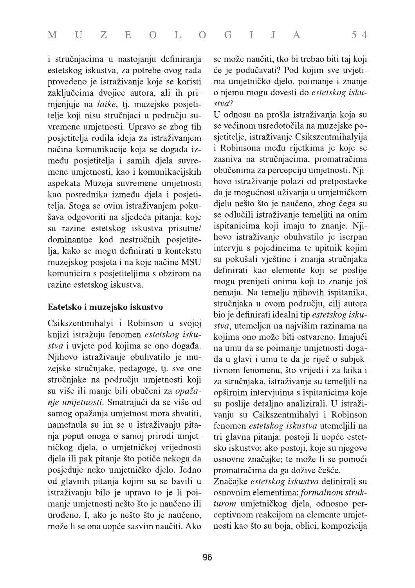i stručnjacima u nastojanju definiranja estetskog iskustva, za potrebe ovog rada provedeno je istraživanje koje se koristi zaključcima dvojice autora, ali ih primjenjuje na laike, tj. muzejske posjetitelje koji nisu stručnjaci u području suvremene umjetnosti. Upravo se zbog tih posjetitelja rodila ideja za istraživanjem načina komunikacije koja se događa između posjetitelja i samih djela suvremene umjetnosti, kao i komunikacijskih aspekata Muzeja suvremene umjetnosti kao posrednika između djela i posjetitelja. Stoga se ovim istraživanjem pokušava odgovoriti na sljedeća pitanja: koje su razine estetskog iskustva prisutne/ dominantne kod nestručnih posjetitelja, kako se mogu definirati u kontekstu muzejskog posjeta i na koje načine MSU komunicira s posjetiteljima s obzirom na razine estetskog iskustva.

#### Estetsko i muzejsko iskustvo

Csikszentmihalyi i Robinson u svojoj knjizi istražuju fenomen estetskog iskustva i uvjete pod kojima se ono događa. Njihovo istraživanje obuhvatilo je muzejske stručnjake, pedagoge, tj. sve one stručnjake na području umjetnosti koji su više ili manje bili obučeni za opažanje umjetnosti. Smatrajući da se više od samog opažanja umjetnost mora shvatiti, nametnula su im se u istraživanju pitanja poput onoga o samoj prirodi umjetničkog djela, o umjetničkoj vrijednosti djela ili pak pitanje što potiče nekoga da posjeduje neko umjetničko djelo. Jedno od glavnih pitanja kojim su se bavili u istraživanju bilo je upravo to je li poimanje umjetnosti nešto što je naučeno ili urođeno. I, ako je nešto što je naučeno, može li se ona uopće sasvim naučiti. Ako

se može naučiti, tko bi trebao biti taj koji će je podučavati? Pod kojim sve uvjetima umjetničko djelo, poimanje i znanje o njemu mogu dovesti do estetskog iskustva?

U odnosu na prošla istraživanja koja su se većinom usredotočila na muzejske posjetitelje, istraživanje Csikszentmihalyija i Robinsona među rijetkima je koje se zasniva na stručnjacima, promatračima obučenima za percepciju umjetnosti. Njihovo istraživanje polazi od pretpostavke da je mogućnost uživanja u umjetničkom djelu nešto što je naučeno, zbog čega su se odlučili istraživanje temeljiti na onim ispitanicima koji imaju to znanje. Njihovo istraživanje obuhvatilo je iscrpan intervju s pojedincima te upitnik kojim su pokušali vještine i znanja stručnjaka definirati kao elemente koji se poslije mogu prenijeti onima koji to znanje još nemaju. Na temelju njihovih ispitanika, stručnjaka u ovom području, cilj autora bio je definirati idealni tip estetskog iskustva, utemeljen na najvišim razinama na kojima ono može biti ostvareno. Imajući na umu da se poimanje umjetnosti događa u glavi i umu te da je riječ o subjektivnom fenomenu, što vrijedi i za laika i za stručnjaka, istraživanje su temeljili na opširnim intervjuima s ispitanicima koje su poslije detaljno analizirali. U istraživanju su Csikszentmihalyi i Robinson fenomen estetskog iskustva utemeljili na tri glavna pitanja: postoji li uopće estetsko iskustvo; ako postoji, koje su njegove osnovne značajke; te može li se pomoći promatračima da ga dožive češće.

Značajke estetskog iskustva definirali su osnovnim elementima: formalnom strukturom umjetničkog djela, odnosno perceptivnom reakcijom na elemente umjetnosti kao što su boja, oblici, kompozicija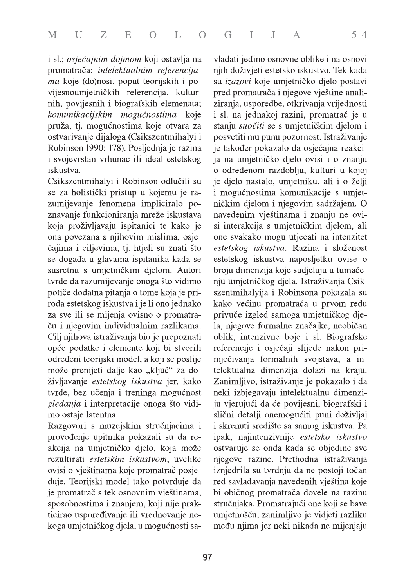i sl.; osjećajnim dojmom koji ostavlja na promatrača; intelektualnim referencijama koje (do)nosi, poput teorijskih i povijesnoumjetničkih referencija, kulturnih, povijesnih i biografskih elemenata; komunikacijskim mogućnostima koje pruža, tj. mogućnostima koje otvara za ostvarivanje dijaloga (Csikszentmihalyi i Robinson 1990: 178). Posljednja je razina i svojevrstan vrhunac ili ideal estetskog iskustva.

Csikszentmihalyi i Robinson odlučili su se za holistički pristup u kojemu je razumijevanje fenomena impliciralo poznavanje funkcioniranja mreže iskustava koja proživljavaju ispitanici te kako je ona povezana s njihovim mislima, osjećajima i ciljevima, tj. htjeli su znati što se događa u glavama ispitanika kada se susretnu s umjetničkim djelom. Autori tvrde da razumijevanje onoga što vidimo potiče dodatna pitanja o tome koja je priroda estetskog iskustva i je li ono jednako za sve ili se mijenja ovisno o promatraču i njegovim individualnim razlikama. Cilj njihova istraživanja bio je prepoznati opće podatke i elemente koji bi stvorili određeni teorijski model, a koji se poslije može prenijeti dalje kao "ključ" za doživljavanje estetskog iskustva jer, kako tvrde, bez učenja i treninga mogućnost gledanja i interpretacije onoga što vidimo ostaje latentna.

Razgovori s muzejskim stručnjacima i provođenje upitnika pokazali su da reakcija na umjetničko djelo, koja može rezultirati estetskim iskustvom, uvelike ovisi o vještinama koje promatrač posjeduje. Teorijski model tako potvrđuje da je promatrač s tek osnovnim vještinama, sposobnostima i znanjem, koji nije prakticirao uspoređivanje ili vrednovanje nekoga umjetničkog djela, u mogućnosti savladati jedino osnovne oblike i na osnovi njih doživjeti estetsko iskustvo. Tek kada su *izazovi* koje umjetničko djelo postavi pred promatrača i njegove vještine analiziranja, usporedbe, otkrivanja vrijednosti i sl. na jednakoj razini, promatrač je u stanju suočiti se s umjetničkim djelom i posvetiti mu punu pozornost. Istraživanje je također pokazalo da osjećajna reakcija na umjetničko djelo ovisi i o znanju o određenom razdoblju, kulturi u kojoj je djelo nastalo, umjetniku, ali i o želji i mogućnostima komunikacije s umjetničkim djelom i njegovim sadržajem. O navedenim vještinama i znanju ne ovisi interakcija s umjetničkim djelom, ali one svakako mogu utjecati na intenzitet estetskog iskustva. Razina i složenost estetskog iskustva naposljetku ovise o broju dimenzija koje sudjeluju u tumačenju umjetničkog djela. Istraživanja Csikszentmihalyija i Robinsona pokazala su kako većinu promatrača u prvom redu privuče izgled samoga umjetničkog djela, njegove formalne značajke, neobičan oblik, intenzivne boje i sl. Biografske referencije i osjećaji slijede nakon primjećivanja formalnih svojstava, a intelektualna dimenzija dolazi na kraju. Zanimljivo, istraživanje je pokazalo i da neki izbjegavaju intelektualnu dimenziju vjerujući da će povijesni, biografski i slični detalji onemogućiti puni doživljaj i skrenuti središte sa samog iskustva. Pa ipak, najintenzivnije estetsko iskustvo ostvaruje se onda kada se objedine sve njegove razine. Prethodna istraživanja iznjedrila su tvrdnju da ne postoji točan red savladavanja navedenih vještina koje bi običnog promatrača dovele na razinu stručnjaka. Promatrajući one koji se bave umjetnošću, zanimljivo je vidjeti razliku među njima jer neki nikada ne mijenjaju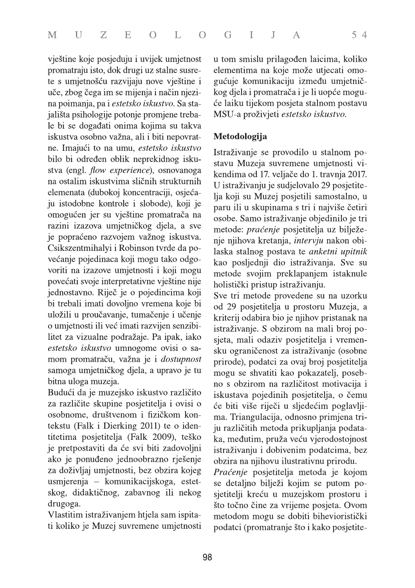vještine koje posjeduju i uvijek umjetnost promatraju isto, dok drugi uz stalne susrete s umjetnošću razvijaju nove vještine i uče, zbog čega im se mijenja i način njezina poimanja, pa i estetsko iskustvo. Sa stajališta psihologije potonje promjene trebale bi se događati onima kojima su takva iskustva osobno važna, ali i biti nepovratne. Imajući to na umu, estetsko iskustvo bilo bi određen oblik neprekidnog iskustva (engl. flow experience), osnovanoga na ostalim iskustvima sličnih strukturnih elemenata (dubokoj koncentraciji, osjećaju istodobne kontrole i slobode), koji je omogućen jer su vještine promatrača na razini izazova umjetničkog djela, a sve je popraćeno razvojem važnog iskustva. Csikszentmihalyi i Robinson tvrde da povećanje pojedinaca koji mogu tako odgovoriti na izazove umjetnosti i koji mogu povećati svoje interpretativne vještine nije jednostavno. Riječ je o pojedincima koji bi trebali imati dovoljno vremena koje bi uložili u proučavanje, tumačenje i učenje o umjetnosti ili već imati razvijen senzibilitet za vizualne podražaje. Pa ipak, iako estetsko iskustvo umnogome ovisi o samom promatraču, važna je i *dostupnost* samoga umjetničkog djela, a upravo je tu bitna uloga muzeja.

Budući da je muzejsko iskustvo različito za različite skupine posjetitelja i ovisi o osobnome, društvenom i fizičkom kontekstu (Falk i Dierking 2011) te o identitetima posjetitelja (Falk 2009), teško je pretpostaviti da će svi biti zadovoljni ako je ponuđeno jednoobrazno rješenje za doživljaj umjetnosti, bez obzira kojeg usmjerenja – komunikacijskoga, estetskog, didaktičnog, zabavnog ili nekog drugoga.

Vlastitim istraživanjem htjela sam ispitati koliko je Muzej suvremene umjetnosti u tom smislu prilagođen laicima, koliko elementima na koje može utjecati omogućuje komunikaciju između umjetničkog djela i promatrača i je li uopće moguće laiku tijekom posjeta stalnom postavu MSU-a proživjeti estetsko iskustvo.

### Metodologija

Istraživanje se provodilo u stalnom postavu Muzeja suvremene umjetnosti vikendima od 17. veljače do 1. travnja 2017. U istraživanju je sudjelovalo 29 posjetitelja koji su Muzej posjetili samostalno, u paru ili u skupinama s tri i najviše četiri osobe. Samo istraživanje objedinilo je tri metode: praćenje posjetitelja uz bilježenje njihova kretanja, *intervju* nakon obilaska stalnog postava te anketni upitnik kao posljednji dio istraživanja. Sve su metode svojim preklapanjem istaknule holistički pristup istraživanju.

Sve tri metode provedene su na uzorku od 29 posjetitelja u prostoru Muzeja, a kriterij odabira bio je njihov pristanak na istraživanje. S obzirom na mali broj posjeta, mali odaziv posjetitelja i vremensku ograničenost za istraživanje (osobne prirode), podatci za ovaj broj posjetitelja mogu se shvatiti kao pokazatelj, posebno s obzirom na različitost motivacija i iskustava pojedinih posjetitelja, o čemu će biti više riječi u sljedećim poglavljima. Triangulacija, odnosno primjena triju različitih metoda prikupljanja podataka, međutim, pruža veću vjerodostojnost istraživanju i dobivenim podatcima, bez obzira na njihovu ilustrativnu prirodu.

Praćenje posjetitelja metoda je kojom se detaljno bilježi kojim se putom posjetitelji kreću u muzejskom prostoru i što točno čine za vrijeme posjeta. Ovom metodom mogu se dobiti bihevioristički podatci (promatranje što i kako posjetite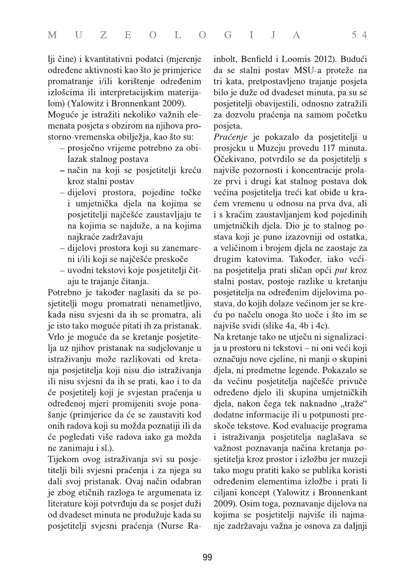lji čine) i kvantitativni podatci (mjerenje određene aktivnosti kao što je primjerice promatranje i/ili korištenje određenim izlošcima ili interpretacijskim materijalom) (Yalowitz i Bronnenkant 2009).

Moguće je istražiti nekoliko važnih elemenata posjeta s obzirom na njihova prostorno-vremenska obilježja, kao što su:

- prosječno vrijeme potrebno za obilazak stalnog postava
- način na koji se posjetitelji kreću kroz stalni postav
- dijelovi prostora, pojedine točke i umjetnička djela na kojima se posjetitelji najčešće zaustavljaju te na kojima se najduže, a na kojima najkraće zadržavaju
- dijelovi prostora koji su zanemareni i/ili koji se najčešće preskoče
- uvodni tekstovi koje posjetitelji čitaju te trajanje čitanja.

Potrebno je također naglasiti da se posjetitelji mogu promatrati nenametljivo, kada nisu svjesni da ih se promatra, ali je isto tako moguće pitati ih za pristanak. Vrlo je moguće da se kretanje posjetitelja uz njihov pristanak na sudjelovanje u istraživanju može razlikovati od kretanja posjetitelja koji nisu dio istraživanja ili nisu svjesni da ih se prati, kao i to da će posjetitelj koji je svjestan praćenja u određenoj mjeri promijeniti svoje ponašanje (primjerice da će se zaustaviti kod onih radova koji su možda poznatiji ili da će pogledati više radova iako ga možda ne zanimaju i sl.).

Tijekom ovog istraživanja svi su posjetitelji bili svjesni praćenja i za njega su dali svoj pristanak. Ovaj način odabran je zbog etičnih razloga te argumenata iz literature koji potvrđuju da se posjet duži od dvadeset minuta ne produžuje kada su posjetitelji svjesni praćenja (Nurse Rainbolt, Benfield i Loomis 2012). Budući da se stalni postav MSU-a proteže na tri kata, pretpostavljeno trajanje posjeta bilo je duže od dvadeset minuta, pa su se posjetitelji obavijestili, odnosno zatražili za dozvolu praćenja na samom početku posjeta.

Praćenje je pokazalo da posjetitelji u prosjeku u Muzeju provedu 117 minuta. Očekivano, potvrdilo se da posjetitelji s najviše pozornosti i koncentracije prolaze prvi i drugi kat stalnog postava dok većina posjetitelja treći kat obiđe u kraćem vremenu u odnosu na prva dva, ali i s kraćim zaustavljanjem kod pojedinih umjetničkih djela. Dio je to stalnog postava koji je puno izazovniji od ostatka, a veličinom i brojem djela ne zaostaje za drugim katovima. Također, iako većina posjetitelja prati sličan opći put kroz stalni postav, postoje razlike u kretanju posjetitelja na određenim dijelovima postava, do kojih dolaze većinom jer se kreću po načelu onoga što uoče i što im se najviše svidi (slike 4a, 4b i 4c).

Na kretanje tako ne utječu ni signalizacija u prostoru ni tekstovi - ni oni veći koji označuju nove cjeline, ni manji o skupini djela, ni predmetne legende. Pokazalo se da većinu posjetitelja najčešće privuče određeno djelo ili skupina umjetničkih djela, nakon čega tek naknadno "traže" dodatne informacije ili u potpunosti preskoče tekstove. Kod evaluacije programa i istraživanja posjetitelja naglašava se važnost poznavanja načina kretanja posjetitelja kroz prostor i izložbu jer muzeji tako mogu pratiti kako se publika koristi određenim elementima izložbe i prati li ciljani koncept (Yalowitz i Bronnenkant 2009). Osim toga, poznavanje dijelova na kojima se posjetitelji najviše ili najmanje zadržavaju važna je osnova za daljnji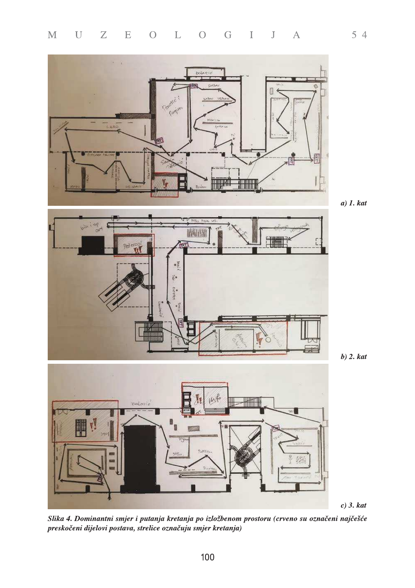

 $a)$  1.  $kat$ 



 $b)$  2.  $kat$ 



 $c)$  3.  $kat$ 

Slika 4. Dominantni smjer i putanja kretanja po izložbenom prostoru (crveno su označeni najčešće preskočeni dijelovi postava, strelice označuju smjer kretanja)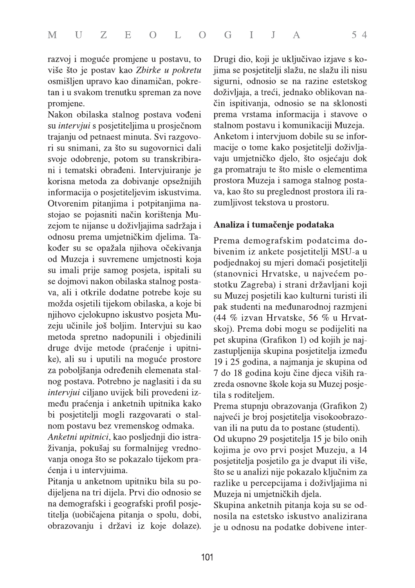razvoj i moguće promjene u postavu, to više što je postav kao Zbirke u pokretu osmišljen upravo kao dinamičan, pokretan i u svakom trenutku spreman za nove promjene.

Nakon obilaska stalnog postava vođeni su *intervjui* s posjetiteljima u prosječnom trajanju od petnaest minuta. Svi razgovori su snimani, za što su sugovornici dali svoje odobrenje, potom su transkribirani i tematski obrađeni. Intervjuiranje je korisna metoda za dobivanje opsežnijih informacija o posjetiteljevim iskustvima. Otvorenim pitanjima i potpitanjima nastojao se pojasniti način korištenja Muzejom te nijanse u doživljajima sadržaja i odnosu prema umjetničkim djelima. Također su se opažala njihova očekivanja od Muzeja i suvremene umjetnosti koja su imali prije samog posjeta, ispitali su se dojmovi nakon obilaska stalnog postava, ali i otkrile dodatne potrebe koje su možda osjetili tijekom obilaska, a koje bi njihovo cjelokupno iskustvo posjeta Muzeju učinile još boljim. Intervjui su kao metoda spretno nadopunili i objedinili druge dvije metode (praćenje i upitnike), ali su i uputili na moguće prostore za poboljšanja određenih elemenata stalnog postava. Potrebno je naglasiti i da su intervjui ciljano uvijek bili provedeni između praćenja i anketnih upitnika kako bi posjetitelji mogli razgovarati o stalnom postavu bez vremenskog odmaka.

Anketni upitnici, kao posljednji dio istraživanja, pokušaj su formalnijeg vrednovanja onoga što se pokazalo tijekom praćenja i u intervjuima.

Pitanja u anketnom upitniku bila su podijeljena na tri dijela. Prvi dio odnosio se na demografski i geografski profil posjetitelja (uobičajena pitanja o spolu, dobi, obrazovanju i državi iz koje dolaze).

Drugi dio, koji je uključivao izjave s kojima se posjetitelji slažu, ne slažu ili nisu sigurni, odnosio se na razine estetskog doživljaja, a treći, jednako oblikovan način ispitivanja, odnosio se na sklonosti prema vrstama informacija i stavove o stalnom postavu i komunikaciji Muzeja. Anketom i intervjuom dobile su se informacije o tome kako posjetitelji doživljavaju umjetničko djelo, što osjećaju dok ga promatraju te što misle o elementima prostora Muzeja i samoga stalnog postava, kao što su preglednost prostora ili razumljivost tekstova u prostoru.

### Analiza i tumačenje podataka

Prema demografskim podatcima dobivenim iz ankete posjetitelji MSU-a u podjednakoj su mjeri domaći posjetitelji (stanovnici Hrvatske, u najvećem postotku Zagreba) i strani državljani koji su Muzej posjetili kao kulturni turisti ili pak studenti na međunarodnoj razmjeni (44 % izvan Hrvatske, 56 % u Hrvatskoj). Prema dobi mogu se podijeliti na pet skupina (Grafikon 1) od kojih je najzastupljenija skupina posjetitelja između 19 i 25 godina, a najmanja je skupina od 7 do 18 godina koju čine djeca viših razreda osnovne škole koja su Muzej posjetila s roditeljem.

Prema stupnju obrazovanja (Grafikon 2) najveći je broj posjetitelja visokoobrazovan ili na putu da to postane (studenti).

Od ukupno 29 posjetitelja 15 je bilo onih kojima je ovo prvi posjet Muzeju, a 14 posjetitelja posjetilo ga je dvaput ili više, što se u analizi nije pokazalo ključnim za razlike u percepcijama i doživljajima ni Muzeja ni umjetničkih djela.

Skupina anketnih pitanja koja su se odnosila na estetsko iskustvo analizirana je u odnosu na podatke dobivene inter-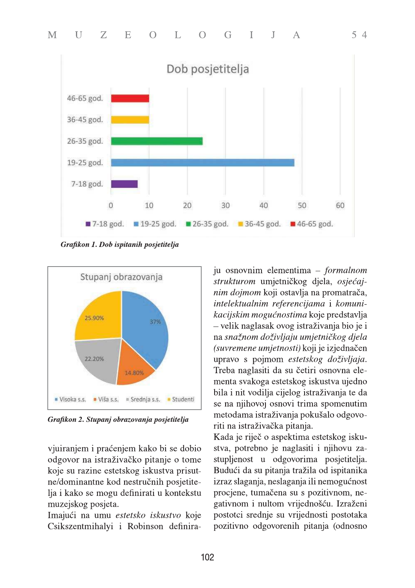

Grafikon 1. Dob ispitanih posjetitelja



Grafikon 2. Stupanj obrazovanja posjetitelja

vjuiranjem i praćenjem kako bi se dobio odgovor na istraživačko pitanje o tome koje su razine estetskog iskustva prisutne/dominantne kod nestručnih posjetitelja i kako se mogu definirati u kontekstu muzejskog posjeta.

Imajući na umu estetsko iskustvo koje Csikszentmihalyi i Robinson definiraju osnovnim elementima – formalnom strukturom umjetničkog djela, osjećajnim dojmom koji ostavlja na promatrača, intelektualnim referencijama i komunikacijskim mogućnostima koje predstavlja - velik naglasak ovog istraživanja bio je i na snažnom doživljaju umjetničkog djela (suvremene umjetnosti) koji je izjednačen upravo s pojmom estetskog doživljaja. Treba naglasiti da su četiri osnovna elementa svakoga estetskog iskustva ujedno bila i nit vodilja cijelog istraživanja te da se na njihovoj osnovi trima spomenutim metodama istraživanja pokušalo odgovoriti na istraživačka pitanja.

 $54$ 

Kada je riječ o aspektima estetskog iskustva, potrebno je naglasiti i njihovu zastupljenost u odgovorima posjetitelja. Budući da su pitanja tražila od ispitanika izraz slaganja, neslaganja ili nemogućnost procjene, tumačena su s pozitivnom, negativnom i nultom vrijednošću. Izraženi postotci srednje su vrijednosti postotaka pozitivno odgovorenih pitanja (odnosno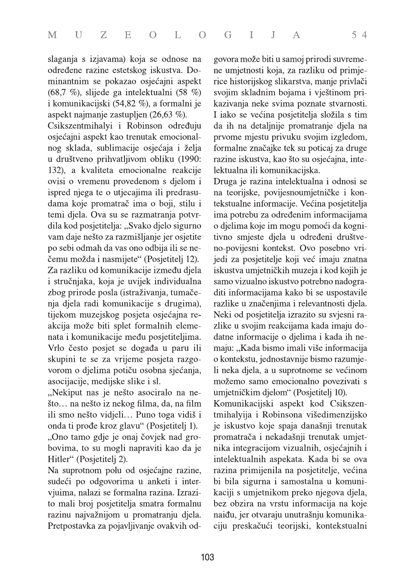slaganja s izjavama) koja se odnose na određene razine estetskog iskustva. Dominantnim se pokazao osjećajni aspekt  $(68,7, %),$  slijede ga intelektualni  $(58, %)$ i komunikacijski (54,82 %), a formalni je aspekt najmanje zastupljen (26,63 %).

Csikszentmihalyi i Robinson određuju osjećajni aspekt kao trenutak emocionalnog sklada, sublimacije osjećaja i želja u društveno prihvatljivom obliku (1990: 132), a kvaliteta emocionalne reakcije ovisi o vremenu provedenom s djelom i ispred njega te o utjecajima ili predrasudama koje promatrač ima o boji, stilu i temi djela. Ova su se razmatranja potvrdila kod posjetitelja: "Svako djelo sigurno vam daje nešto za razmišljanje jer osjetite po sebi odmah da vas ono odbija ili se nečemu možda i nasmijete" (Posjetitelj 12). Za razliku od komunikacije između djela i stručnjaka, koja je uvijek individualna zbog prirode posla (istraživanja, tumačenja djela radi komunikacije s drugima), tijekom muzejskog posjeta osjećajna reakcija može biti splet formalnih elemenata i komunikacije među posjetiteljima. Vrlo često posjet se događa u paru ili skupini te se za vrijeme posjeta razgovorom o djelima potiču osobna sjećanja, asocijacije, medijske slike i sl.

"Nekiput nas je nešto asociralo na nešto... na nešto iz nekog filma, da, na film ili smo nešto vidjeli... Puno toga vidiš i onda ti prođe kroz glavu" (Posjetitelj 1).

"Ono tamo gdje je onaj čovjek nad grobovima, to su mogli napraviti kao da je Hitler" (Posjetitelj 2).

Na suprotnom polu od osjećajne razine, sudeći po odgovorima u anketi i intervjuima, nalazi se formalna razina. Izrazito mali broj posjetitelja smatra formalnu razinu najvažnijom u promatranju djela. Pretpostavka za pojavljivanje ovakvih odgovora može biti u samoj prirodi suvremene umjetnosti koja, za razliku od primjerice historijskog slikarstva, manje privlači svojim skladnim bojama i vještinom prikazivanja neke svima poznate stvarnosti. I iako se većina posjetitelja složila s tim da ih na detaljnije promatranje djela na prvome mjestu privuku svojim izgledom, formalne značajke tek su poticaj za druge razine iskustva, kao što su osjećajna, intelektualna ili komunikacijska.

Druga je razina intelektualna i odnosi se na teorijske, povijesnoumjetničke i kontekstualne informacije. Većina posjetitelja ima potrebu za određenim informacijama o djelima koje im mogu pomoći da kognitivno smjeste djela u određeni društveno-povijesni kontekst. Ovo posebno vrijedi za posjetitelje koji već imaju znatna iskustva umjetničkih muzeja i kod kojih je samo vizualno iskustvo potrebno nadograditi informacijama kako bi se uspostavile razlike u značenjima i relevantnosti djela. Neki od posjetitelja izrazito su svjesni razlike u svojim reakcijama kada imaju dodatne informacije o djelima i kada ih nemaju: "Kada bismo imali više informacija o kontekstu, jednostavnije bismo razumjeli neka djela, a u suprotnome se većinom možemo samo emocionalno povezivati s umjetničkim djelom" (Posjetitelj 10).

Komunikacijski aspekt kod Csikszentmihalyija i Robinsona višedimenzijsko je iskustvo koje spaja današnji trenutak promatrača i nekadašnji trenutak umjetnika integracijom vizualnih, osjećajnih i intelektualnih aspekata. Kada bi se ova razina primijenila na posjetitelje, većina bi bila sigurna i samostalna u komunikaciji s umjetnikom preko njegova djela, bez obzira na vrstu informacija na koje naiđu, jer otvaraju unutrašnju komunikaciju preskačući teorijski, kontekstualni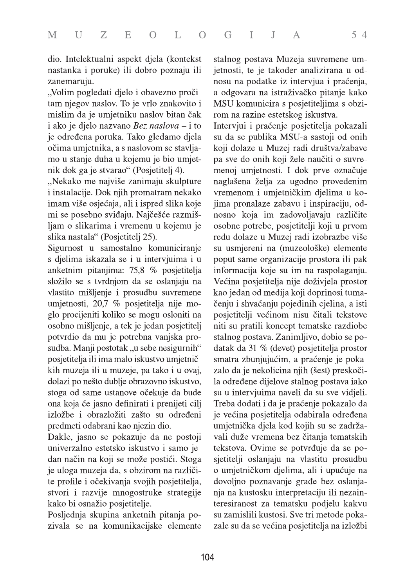dio. Intelektualni aspekt djela (kontekst nastanka i poruke) ili dobro poznaju ili zanemaruju.

"Volim pogledati djelo i obavezno pročitam njegov naslov. To je vrlo znakovito i mislim da je umjetniku naslov bitan čak i ako je djelo nazvano Bez naslova – i to je određena poruka. Tako gledamo djela očima umjetnika, a s naslovom se stavljamo u stanje duha u kojemu je bio umjetnik dok ga je stvarao" (Posjetitelj 4).

"Nekako me najviše zanimaju skulpture i instalacije. Dok njih promatram nekako imam više osjećaja, ali i ispred slika koje mi se posebno sviđaju. Najčešće razmišljam o slikarima i vremenu u kojemu je slika nastala" (Posjetitelj 25).

Sigurnost u samostalno komuniciranje s djelima iskazala se i u intervjuima i u anketnim pitanjima: 75,8 % posjetitelja složilo se s tvrdnjom da se oslanjaju na vlastito mišljenje i prosudbu suvremene umjetnosti, 20,7 % posjetitelja nije moglo procijeniti koliko se mogu osloniti na osobno mišljenje, a tek je jedan posjetitelj potvrdio da mu je potrebna vanjska prosudba. Manji postotak "u sebe nesigurnih" posjetitelja ili ima malo iskustvo umjetničkih muzeja ili u muzeje, pa tako i u ovaj, dolazi po nešto dublje obrazovno iskustvo, stoga od same ustanove očekuje da bude ona koja će jasno definirati i prenijeti cilj izložbe i obrazložiti zašto su određeni predmeti odabrani kao njezin dio.

Dakle, jasno se pokazuje da ne postoji univerzalno estetsko iskustvo i samo jedan način na koji se može postići. Stoga je uloga muzeja da, s obzirom na različite profile i očekivanja svojih posjetitelja, stvori i razvije mnogostruke strategije kako bi osnažio posjetitelje.

Posljednja skupina anketnih pitanja pozivala se na komunikacijske elemente stalnog postava Muzeja suvremene umjetnosti, te je također analizirana u odnosu na podatke iz intervjua i praćenja, a odgovara na istraživačko pitanje kako MSU komunicira s posjetiteljima s obzirom na razine estetskog iskustva.

Intervjui i praćenje posjetitelja pokazali su da se publika MSU-a sastoji od onih koji dolaze u Muzej radi društva/zabave pa sve do onih koji žele naučiti o suvremenoj umjetnosti. I dok prve označuje naglašena želja za ugodno provedenim vremenom i umjetničkim djelima u kojima pronalaze zabavu i inspiraciju, odnosno koja im zadovoljavaju različite osobne potrebe, posjetitelji koji u prvom redu dolaze u Muzej radi izobrazbe više su usmjereni na (muzeološke) elemente poput same organizacije prostora ili pak informacija koje su im na raspolaganju. Većina posjetitelja nije doživjela prostor kao jedan od medija koji doprinosi tumačenju i shvaćanju pojedinih cjelina, a isti posjetitelji većinom nisu čitali tekstove niti su pratili koncept tematske razdiobe stalnog postava. Zanimljivo, dobio se podatak da 31 % (devet) posjetitelja prostor smatra zbunjujućim, a praćenje je pokazalo da je nekolicina njih (šest) preskočila određene dijelove stalnog postava iako su u intervjuima naveli da su sve vidjeli. Treba dodati i da je praćenje pokazalo da je većina posjetitelja odabirala određena umjetnička djela kod kojih su se zadržavali duže vremena bez čitanja tematskih tekstova. Ovime se potvrđuje da se posjetitelji oslanjaju na vlastitu prosudbu o umjetničkom djelima, ali i upućuje na dovoljno poznavanje građe bez oslanjanja na kustosku interpretaciju ili nezainteresiranost za tematsku podjelu kakvu su zamislili kustosi. Sve tri metode pokazale su da se većina posjetitelja na izložbi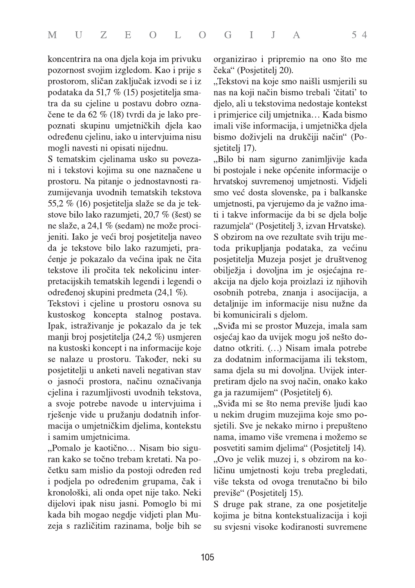koncentrira na ona djela koja im privuku pozornost svojim izgledom. Kao i prije s prostorom, sličan zaključak izvodi se i iz podataka da 51,7 % (15) posjetitelja smatra da su cjeline u postavu dobro označene te da 62 % (18) tvrdi da je lako prepoznati skupinu umjetničkih djela kao određenu cjelinu, iako u intervjuima nisu mogli navesti ni opisati nijednu.

S tematskim cjelinama usko su povezani i tekstovi kojima su one naznačene u prostoru. Na pitanje o jednostavnosti razumijevanja uvodnih tematskih tekstova 55,2 % (16) posjetitelja slaže se da je tekstove bilo lako razumjeti, 20,7 % (šest) se ne slaže, a 24,1 % (sedam) ne može procijeniti. Iako je veći broj posjetitelja naveo da je tekstove bilo lako razumjeti, praćenje je pokazalo da većina ipak ne čita tekstove ili pročita tek nekolicinu interpretacijskih tematskih legendi i legendi o određenoj skupini predmeta (24,1 %).

Tekstovi i cjeline u prostoru osnova su kustoskog koncepta stalnog postava. Ipak, istraživanje je pokazalo da je tek manji broj posjetitelja (24,2 %) usmjeren na kustoski koncept i na informacije koje se nalaze u prostoru. Također, neki su posjetitelji u anketi naveli negativan stav o jasnoći prostora, načinu označivanja cjelina i razumljivosti uvodnih tekstova, a svoje potrebe navode u intervjuima i rješenje vide u pružanju dodatnih informacija o umjetničkim djelima, kontekstu i samim umjetnicima.

"Pomalo je kaotično... Nisam bio siguran kako se točno trebam kretati. Na početku sam mislio da postoji određen red i podjela po određenim grupama, čak i kronološki, ali onda opet nije tako. Neki dijelovi ipak nisu jasni. Pomoglo bi mi kada bih mogao negdje vidjeti plan Muzeja s različitim razinama, bolje bih se

organizirao i pripremio na ono što me čeka" (Posjetitelj 20).

"Tekstovi na koje smo naišli usmjerili su nas na koji način bismo trebali 'čitati' to djelo, ali u tekstovima nedostaje kontekst i primjerice cilj umjetnika... Kada bismo imali više informacija, i umjetnička djela bismo doživjeli na drukčiji način" (Posjetitelj 17).

"Bilo bi nam sigurno zanimljivije kada bi postojale i neke općenite informacije o hrvatskoj suvremenoj umjetnosti. Vidjeli smo već dosta slovenske, pa i balkanske umjetnosti, pa vjerujemo da je važno imati i takve informacije da bi se djela bolje razumjela" (Posjetitelj 3, izvan Hrvatske). S obzirom na ove rezultate svih triju metoda prikupljanja podataka, za većinu posjetitelja Muzeja posjet je društvenog obilježja i dovoljna im je osjećajna reakcija na djelo koja proizlazi iz njihovih osobnih potreba, znanja i asocijacija, a detaljnije im informacije nisu nužne da bi komunicirali s djelom.

"Sviđa mi se prostor Muzeja, imala sam osjećaj kao da uvijek mogu još nešto dodatno otkriti. (...) Nisam imala potrebe za dodatnim informacijama ili tekstom, sama djela su mi dovoljna. Uvijek interpretiram djelo na svoj način, onako kako ga ja razumijem" (Posjetitelj 6).

"Sviđa mi se što nema previše ljudi kao u nekim drugim muzejima koje smo posjetili. Sve je nekako mirno i prepušteno nama, imamo više vremena i možemo se posvetiti samim djelima" (Posjetitelj 14). "Ovo je velik muzej i, s obzirom na količinu umjetnosti koju treba pregledati, više teksta od ovoga trenutačno bi bilo previše" (Posjetitelj 15).

S druge pak strane, za one posjetitelje kojima je bitna kontekstualizacija i koji su svjesni visoke kodiranosti suvremene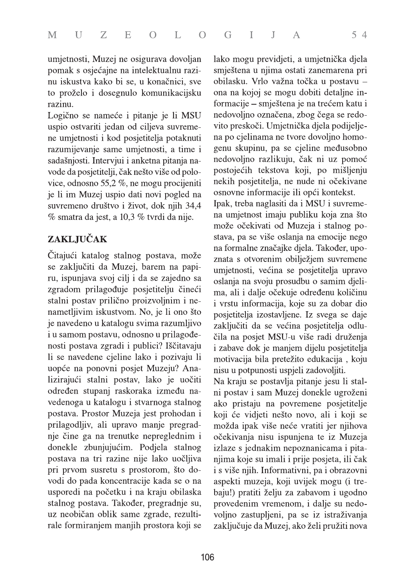umjetnosti, Muzej ne osigurava dovoljan pomak s osjećajne na intelektualnu razinu iskustva kako bi se, u konačnici, sve to proželo i dosegnulo komunikacijsku razinu.

Logično se nameće i pitanje je li MSU uspio ostvariti jedan od ciljeva suvremene umjetnosti i kod posjetitelja potaknuti razumijevanje same umjetnosti, a time i sadašnjosti. Intervjui i anketna pitanja navode da posjetitelji, čak nešto više od polovice, odnosno 55,2  $\%$ , ne mogu procijeniti je li im Muzej uspio dati novi pogled na suvremeno društvo i život, dok njih 34,4 % smatra da jest, a 10,3 % tvrdi da nije.

## ZAKLJUČAK

Čitajući katalog stalnog postava, može se zaključiti da Muzej, barem na papiru, ispunjava svoj cilj i da se zajedno sa zgradom prilagođuje posjetitelju čineći stalni postav prilično proizvoljnim i nenametljivim iskustvom. No, je li ono što je navedeno u katalogu svima razumljivo i u samom postavu, odnosno u prilagođenosti postava zgradi i publici? Iščitavaju li se navedene cjeline lako i pozivaju li uopće na ponovni posjet Muzeju? Analizirajući stalni postav, lako je uočiti određen stupanj raskoraka između navedenoga u katalogu i stvarnoga stalnog postava. Prostor Muzeja jest prohodan i prilagodljiv, ali upravo manje pregradnje čine ga na trenutke nepreglednim i donekle zbunjujućim. Podjela stalnog postava na tri razine nije lako uočljiva pri prvom susretu s prostorom, što dovodi do pada koncentracije kada se o na usporedi na početku i na kraju obilaska stalnog postava. Također, pregradnje su, uz neobičan oblik same zgrade, rezultirale formiranjem manjih prostora koji se

lako mogu previdjeti, a umjetnička djela smještena u njima ostati zanemarena pri obilasku. Vrlo važna točka u postavu ona na kojoj se mogu dobiti detaljne informacije – smještena je na trećem katu i nedovoljno označena, zbog čega se redovito preskoči. Umjetnička djela podijeljena po cjelinama ne tvore dovoljno homogenu skupinu, pa se cjeline međusobno nedovoljno razlikuju, čak ni uz pomoć postojećih tekstova koji, po mišljenju nekih posjetitelja, ne nude ni očekivane osnovne informacije ili opći kontekst.

Ipak, treba naglasiti da i MSU i suvremena umjetnost imaju publiku koja zna što može očekivati od Muzeja i stalnog postava, pa se više oslanja na emocije nego na formalne značajke djela. Također, upoznata s otvorenim obilježjem suvremene umjetnosti, većina se posjetitelja upravo oslanja na svoju prosudbu o samim djelima, ali i dalje očekuje određenu količinu i vrstu informacija, koje su za dobar dio posjetitelja izostavljene. Iz svega se daje zaključiti da se većina posjetitelja odlučila na posjet MSU-u više radi druženja i zabave dok je manjem dijelu posjetitelja motivacija bila pretežito edukacija, koju nisu u potpunosti uspjeli zadovoljiti.

Na kraju se postavlja pitanje jesu li stalni postav i sam Muzej donekle ugroženi ako pristaju na povremene posjetitelje koji će vidjeti nešto novo, ali i koji se možda ipak više neće vratiti jer njihova očekivanja nisu ispunjena te iz Muzeja izlaze s jednakim nepoznanicama i pitanjima koje su imali i prije posjeta, ili čak i s više njih. Informativni, pa i obrazovni aspekti muzeja, koji uvijek mogu (i trebaju!) pratiti želju za zabavom i ugodno provedenim vremenom, i dalje su nedovoljno zastupljeni, pa se iz istraživanja zaključuje da Muzej, ako želi pružiti nova